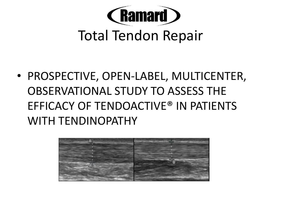

# Total Tendon Repair

• PROSPECTIVE, OPEN-LABEL, MULTICENTER, OBSERVATIONAL STUDY TO ASSESS THE EFFICACY OF TENDOACTIVE® IN PATIENTS WITH TENDINOPATHY

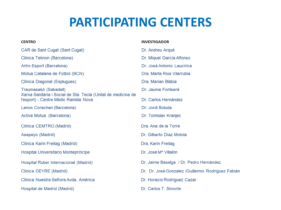## **PARTICIPATING CENTERS**

**INVESTIGADOR** 

#### **CENTRO**

#### CAR de Sant Cugat (Sant Cugat) Dr. Andreu Arqué Clinica Teknon (Barcelona) Artro Esport (Barcelona) Mútua Catalana de Fútbol (BCN) Clínica Diagonal (Esplugues) Dra, Marian Blàbia Traumasalut (Sabadell) Dr. Jaume Fontseré Xarxa Sanitària i Social de Sta. Tecla (Unitat de medicina de l'esport) - Centre Mèdic Rambla Nova Dr. Carlos Hernández Dr. Jordi Boluda Lenox Corachan (Barcelona) Activa Mútua (Barcelona) Dr. Tomislav Kranjec Dra, Ana de la Torre Clínica CEMTRO (Madrid) Asepeyo (Madrid) Clínica Karin Freitag (Madrid) Dra. Karin Freitag **Hospital Universitario Montepríncipe** Dr. José Mª Villalón Hospital Ruber Internacional (Madrid) Clínica DEYRE (Madrid) Clínica Nuestra Señora Avda, América Dr. Carlos T. Simorte Hospital de Madrid (Madrid)

Dr. Miquel García Alfonso Dr. José Antonio Laucirica Dra, Marta Rius Vilarrubia Dr. Gilberto Díaz Motola Dr. Jaime Baselga / Dr. Pedro Hernández Dr. Dr. José Gonzalez /Guillermo Rodríguez Fabián Dr. Horacio Rodríguez Cazar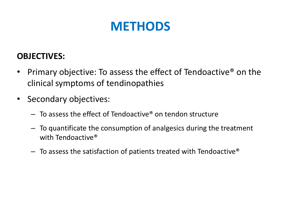## **METHODS**

#### **OBJECTIVES:**

- Primary objective: To assess the effect of Tendoactive<sup>®</sup> on the clinical symptoms of tendinopathies
- Secondary objectives:
	- $-$  To assess the effect of Tendoactive<sup>®</sup> on tendon structure
	- To quantificate the consumption of analgesics during the treatment with Tendoactive<sup>®</sup>
	- $-$  To assess the satisfaction of patients treated with Tendoactive<sup>®</sup>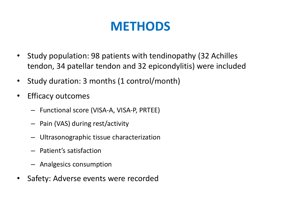## **METHODS**

- Study population: 98 patients with tendinopathy (32 Achilles tendon, 34 patellar tendon and 32 epicondylitis) were included
- Study duration: 3 months (1 control/month)
- Efficacy outcomes
	- Functional score (VISA-A, VISA-P, PRTEE)
	- Pain (VAS) during rest/activity
	- Ultrasonographic tissue characterization
	- Patient's satisfaction
	- Analgesics consumption
- Safety: Adverse events were recorded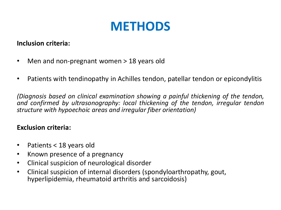## **METHODS**

#### **Inclusion criteria:**

- Men and non-pregnant women > 18 years old
- Patients with tendinopathy in Achilles tendon, patellar tendon or epicondylitis

*(Diagnosis based on clinical examination showing a painful thickening of the tendon, and confirmed by ultrasonography: local thickening of the tendon, irregular tendon structure with hypoechoic areas and irregular fiber orientation)*

#### **Exclusion criteria:**

- Patients < 18 years old
- Known presence of a pregnancy
- Clinical suspicion of neurological disorder
- Clinical suspicion of internal disorders (spondyloarthropathy, gout, hyperlipidemia, rheumatoid arthritis and sarcoidosis)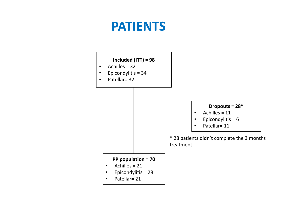## **PATIENTS**

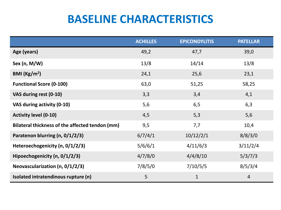## **BASELINE CHARACTERISTICS**

|                                                 | <b>ACHILLES</b> | <b>EPICONDYLITIS</b> | <b>PATELLAR</b> |
|-------------------------------------------------|-----------------|----------------------|-----------------|
| Age (years)                                     | 49,2            | 47,7                 | 39,0            |
| Sex (n, $M/W$ )                                 | 13/8            | 14/14                | 13/8            |
| BMI $(Kg/m2)$                                   | 24,1            | 25,6                 | 23,1            |
| <b>Functional Score (0-100)</b>                 | 63,0            | 51,25                | 58,25           |
| VAS during rest (0-10)                          | 3,3             | 3,4                  | 4,1             |
| VAS during activity (0-10)                      | 5,6             | 6,5                  | 6,3             |
| <b>Activity level (0-10)</b>                    | 4,5             | 5,3                  | 5,6             |
| Bilateral thickness of the affected tendon (mm) | 9,5             | 7,7                  | 10,4            |
| Paratenon blurring (n, 0/1/2/3)                 | 6/7/4/1         | 10/12/2/1            | 8/8/3/0         |
| Heteroechogenicity (n, 0/1/2/3)                 | 5/6/6/1         | 4/11/6/3             | 3/11/2/4        |
| Hipoechogenicity (n, 0/1/2/3)                   | 4/7/8/0         | 4/4/8/10             | 5/3/7/3         |
| Neovascularization (n, $0/1/2/3$ )              | 7/8/5/0         | 7/10/5/5             | 8/5/3/4         |
| Isolated intratendinous rupture (n)             | 5               | $\mathbf 1$          | $\overline{4}$  |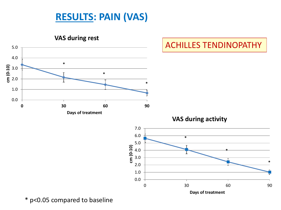### **RESULTS: PAIN (VAS)**

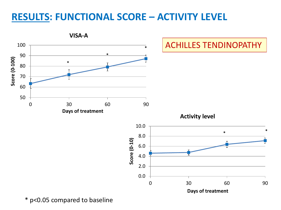### **RESULTS: FUNCTIONAL SCORE – ACTIVITY LEVEL**

![](_page_8_Figure_1.jpeg)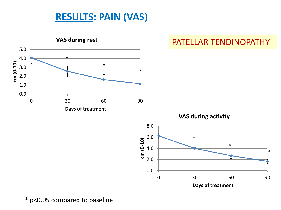### **RESULTS: PAIN (VAS)**

![](_page_9_Figure_1.jpeg)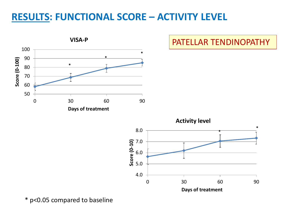### **RESULTS: FUNCTIONAL SCORE – ACTIVITY LEVEL**

![](_page_10_Figure_1.jpeg)

#### PATELLAR TENDINOPATHY

![](_page_10_Figure_3.jpeg)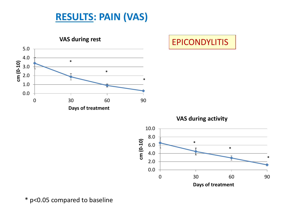### **RESULTS: PAIN (VAS)**

![](_page_11_Figure_1.jpeg)

EPICONDYLITIS

**VAS during activity**

![](_page_11_Figure_4.jpeg)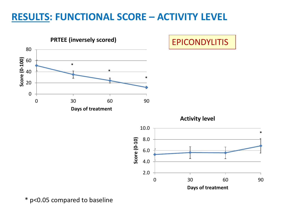### **RESULTS: FUNCTIONAL SCORE – ACTIVITY LEVEL**

![](_page_12_Figure_1.jpeg)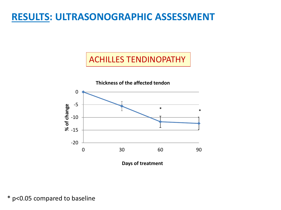#### ACHILLES TENDINOPATHY

![](_page_13_Figure_2.jpeg)

**Days of treatment**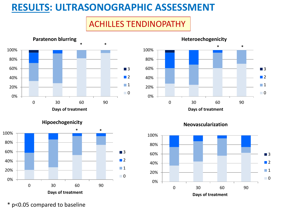#### ACHILLES TENDINOPATHY

![](_page_14_Figure_2.jpeg)

![](_page_14_Figure_3.jpeg)

![](_page_14_Figure_4.jpeg)

![](_page_14_Figure_5.jpeg)

**Neovascularization**

![](_page_14_Figure_7.jpeg)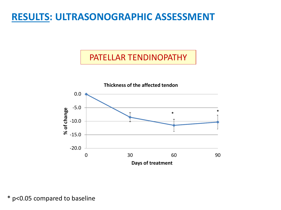#### PATELLAR TENDINOPATHY

![](_page_15_Figure_2.jpeg)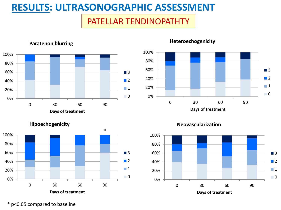#### PATELLAR TENDINOPATHTY

![](_page_16_Figure_2.jpeg)

#### **Paratenon blurring**

![](_page_16_Figure_4.jpeg)

#### **Heteroechogenicity**

![](_page_16_Figure_6.jpeg)

**Neovascularization**

![](_page_16_Figure_8.jpeg)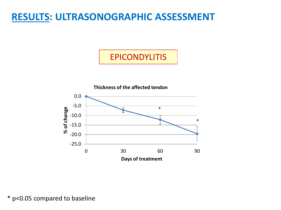#### EPICONDYLITIS

![](_page_17_Figure_2.jpeg)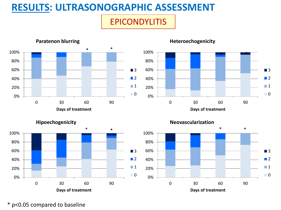### EPICONDYLITIS

![](_page_18_Figure_2.jpeg)

#### **Heteroechogenicity**

![](_page_18_Figure_4.jpeg)

![](_page_18_Figure_5.jpeg)

![](_page_18_Figure_6.jpeg)

**Neovascularization**

![](_page_18_Figure_8.jpeg)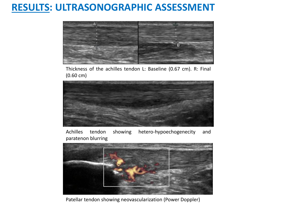![](_page_19_Figure_1.jpeg)

Thickness of the achilles tendon L: Baseline (0.67 cm). R: Final (0.60 cm)

![](_page_19_Picture_3.jpeg)

Achilles tendon showing hetero-hypoechogenecity and paratenon blurring

![](_page_19_Figure_5.jpeg)

Patellar tendon showing neovascularization (Power Doppler)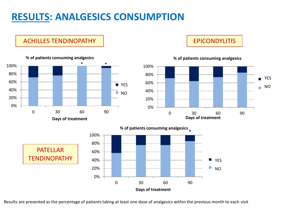### **RESULTS: ANALGESICS CONSUMPTION**

ACHILLES TENDINOPATHY

![](_page_20_Figure_2.jpeg)

EPICONDYLITIS

![](_page_20_Figure_4.jpeg)

#### **% of patients consuming analgesics**

![](_page_20_Figure_6.jpeg)

**PATFILAR TENDINOPATHY** 

Results are presented as the percentage of patients taking at least one dose of analgesics within the previous month to each visit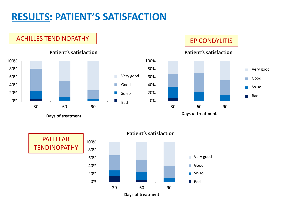## **RESULTS: PATIENT'S SATISFACTION**

#### ACHILLES TENDINOPATHY | EPICONDYLITIS

![](_page_21_Figure_2.jpeg)

**Patient's satisfaction**

#### **Patient's satisfaction**

![](_page_21_Figure_6.jpeg)

![](_page_21_Figure_7.jpeg)